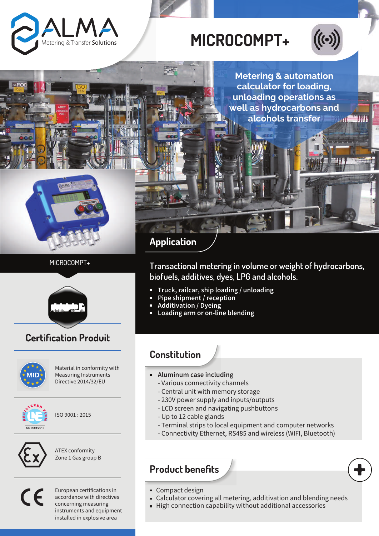

# **MICROCOMPT+**



m

**Metering & automation calculator for loading, unloading operations as well as hydrocarbons and alcohols transfer** *<u>Alland</u>* 



## MICROCOMPT+



# **Certification Produit**



Material in conformity with Measuring Instruments Directive 2014/32/EU



ISO 9001 : 2015



ATEX conformity Zone 1 Gas group B

 $\epsilon$ 

European certifications in accordance with directives concerning measuring instruments and equipment installed in explosive area

# **Application**

**Transactional metering in volume or weight of hydrocarbons, biofuels, additives, dyes, LPG and alcohols.**

- **Truck, railcar, ship loading / unloading**
- **Pipe shipment / reception**
- **Additivation / Dyeing**
- **Loading arm or on-line blending**

## **Constitution**

- **Aluminum case including**
	- Various connectivity channels
	- Central unit with memory storage
	- 230V power supply and inputs/outputs
	- LCD screen and navigating pushbuttons
	- Up to 12 cable glands
	- Terminal strips to local equipment and computer networks
	- Connectivity Ethernet, RS485 and wireless (WIFI, Bluetooth)

## **Product benefits**



- Compact design
- Calculator covering all metering, additivation and blending needs  $\bar{\phantom{a}}$
- High connection capability without additional accessories  $\blacksquare$